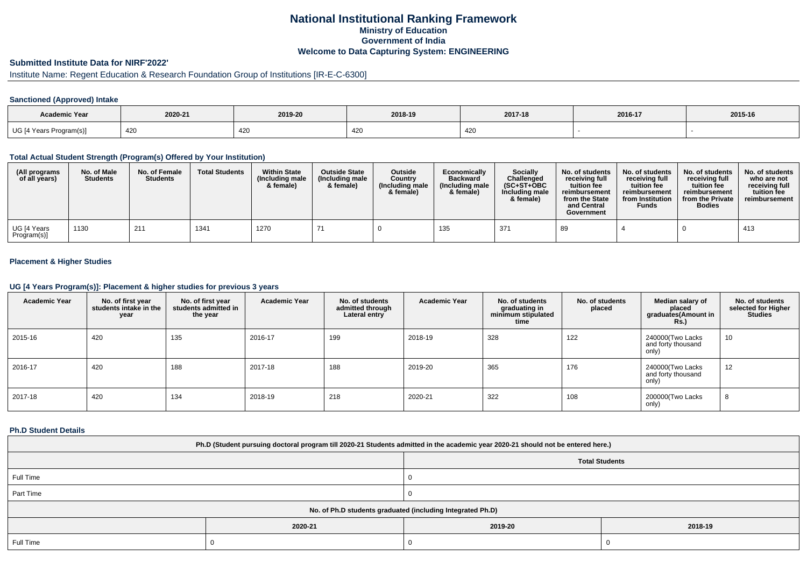# **National Institutional Ranking FrameworkMinistry of Education Government of IndiaWelcome to Data Capturing System: ENGINEERING**

# **Submitted Institute Data for NIRF'2022'**

# Institute Name: Regent Education & Research Foundation Group of Institutions [IR-E-C-6300]

### **Sanctioned (Approved) Intake**

| <b>Academic Year</b>    | 2020-21 | 2019-20 | 2018-19                  | 2017-18 | 2016-17 | 2015-16 |
|-------------------------|---------|---------|--------------------------|---------|---------|---------|
| UG [4 Years Program(s)] | 420     | 420     | $\overline{\phantom{a}}$ | 420     |         |         |

#### **Total Actual Student Strength (Program(s) Offered by Your Institution)**

| (All programs<br>of all years) | No. of Male<br><b>Students</b> | No. of Female<br><b>Students</b> | <b>Total Students</b> | <b>Within State</b><br>(Including male<br>& female) | <b>Outside State</b><br>(Including male<br>& female) | Outside<br>Country<br>(Including male)<br>& female) | Economically<br><b>Backward</b><br>(Including male)<br>& female) | <b>Socially</b><br>Challenged<br>$(SC+ST+OBC)$<br>Including male<br>& female) | No. of students<br>receivina full<br>tuition fee<br>reimbursement<br>from the State<br>and Central<br>Government | No. of students<br>receiving full<br>tuition fee<br>reimbursement<br>from Institution<br><b>Funds</b> | No. of students<br>receiving full<br>tuition fee<br>reimbursement<br>from the Private<br><b>Bodies</b> | No. of students<br>who are not<br>receivina full<br>tuition fee<br>reimbursement |
|--------------------------------|--------------------------------|----------------------------------|-----------------------|-----------------------------------------------------|------------------------------------------------------|-----------------------------------------------------|------------------------------------------------------------------|-------------------------------------------------------------------------------|------------------------------------------------------------------------------------------------------------------|-------------------------------------------------------------------------------------------------------|--------------------------------------------------------------------------------------------------------|----------------------------------------------------------------------------------|
| UG [4 Years<br>Program(s)]     | 1130                           | 211                              | 1341                  | 1270                                                |                                                      |                                                     | 135                                                              | 371                                                                           | 89                                                                                                               |                                                                                                       |                                                                                                        | 413                                                                              |

### **Placement & Higher Studies**

#### **UG [4 Years Program(s)]: Placement & higher studies for previous 3 years**

| <b>Academic Year</b> | No. of first year<br>students intake in the<br>year | No. of first year<br>students admitted in<br>the year | <b>Academic Year</b> | No. of students<br>admitted through<br>Lateral entry | <b>Academic Year</b> | No. of students<br>graduating in<br>minimum stipulated<br>time | No. of students<br>placed | Median salary of<br>placed<br>graduates(Amount in<br>Rs. | No. of students<br>selected for Higher<br><b>Studies</b> |
|----------------------|-----------------------------------------------------|-------------------------------------------------------|----------------------|------------------------------------------------------|----------------------|----------------------------------------------------------------|---------------------------|----------------------------------------------------------|----------------------------------------------------------|
| 2015-16              | 420                                                 | 135                                                   | 2016-17              | 199                                                  | 2018-19              | 328                                                            | 122                       | 240000(Two Lacks<br>and forty thousand<br>only)          | 10                                                       |
| 2016-17              | 420                                                 | 188                                                   | 2017-18              | 188                                                  | 2019-20              | 365                                                            | 176                       | 240000(Two Lacks<br>and forty thousand<br>only)          | 12                                                       |
| 2017-18              | 420                                                 | 134                                                   | 2018-19              | 218                                                  | 2020-21              | 322                                                            | 108                       | 200000(Two Lacks<br>only)                                | 8                                                        |

#### **Ph.D Student Details**

| Ph.D (Student pursuing doctoral program till 2020-21 Students admitted in the academic year 2020-21 should not be entered here.) |         |                       |         |  |
|----------------------------------------------------------------------------------------------------------------------------------|---------|-----------------------|---------|--|
|                                                                                                                                  |         | <b>Total Students</b> |         |  |
| Full Time                                                                                                                        |         |                       |         |  |
| Part Time                                                                                                                        |         |                       |         |  |
| No. of Ph.D students graduated (including Integrated Ph.D)                                                                       |         |                       |         |  |
|                                                                                                                                  | 2020-21 | 2019-20               | 2018-19 |  |
| Full Time                                                                                                                        |         |                       |         |  |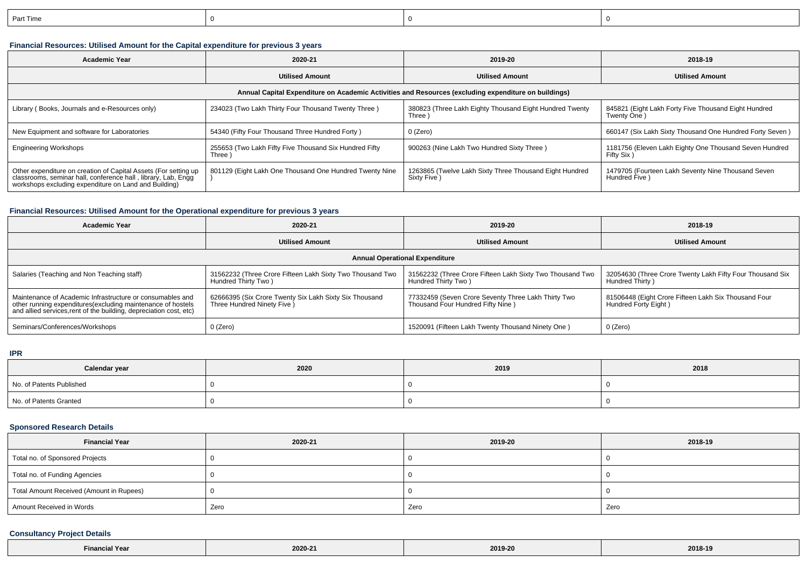| Part Time |  |  |
|-----------|--|--|
|           |  |  |

## **Financial Resources: Utilised Amount for the Capital expenditure for previous 3 years**

| <b>Academic Year</b>                                                                                                                                                                       | 2020-21                                                         | 2019-20                                                                 | 2018-19                                                              |  |  |  |
|--------------------------------------------------------------------------------------------------------------------------------------------------------------------------------------------|-----------------------------------------------------------------|-------------------------------------------------------------------------|----------------------------------------------------------------------|--|--|--|
|                                                                                                                                                                                            | <b>Utilised Amount</b>                                          | <b>Utilised Amount</b>                                                  | <b>Utilised Amount</b>                                               |  |  |  |
| Annual Capital Expenditure on Academic Activities and Resources (excluding expenditure on buildings)                                                                                       |                                                                 |                                                                         |                                                                      |  |  |  |
| Library (Books, Journals and e-Resources only)                                                                                                                                             | 234023 (Two Lakh Thirty Four Thousand Twenty Three)             | 380823 (Three Lakh Eighty Thousand Eight Hundred Twenty<br>Three)       | 845821 (Eight Lakh Forty Five Thousand Eight Hundred<br>Twenty One)  |  |  |  |
| New Equipment and software for Laboratories                                                                                                                                                | 54340 (Fifty Four Thousand Three Hundred Forty)                 | 0 (Zero)                                                                | 660147 (Six Lakh Sixty Thousand One Hundred Forty Seven)             |  |  |  |
| <b>Engineering Workshops</b>                                                                                                                                                               | 255653 (Two Lakh Fifty Five Thousand Six Hundred Fifty<br>Three | 900263 (Nine Lakh Two Hundred Sixty Three)                              | 1181756 (Eleven Lakh Eighty One Thousand Seven Hundred<br>Fifty Six) |  |  |  |
| Other expenditure on creation of Capital Assets (For setting up<br>classrooms, seminar hall, conference hall , library, Lab, Engg<br>workshops excluding expenditure on Land and Building) | 801129 (Eight Lakh One Thousand One Hundred Twenty Nine         | 1263865 (Twelve Lakh Sixty Three Thousand Eight Hundred<br>Sixty Five ) | 1479705 (Fourteen Lakh Seventy Nine Thousand Seven<br>Hundred Five)  |  |  |  |

## **Financial Resources: Utilised Amount for the Operational expenditure for previous 3 years**

| <b>Academic Year</b>                                                                                                                                                                           | 2020-21                                                                               | 2019-20                                                                                  | 2018-19                                                                      |  |  |
|------------------------------------------------------------------------------------------------------------------------------------------------------------------------------------------------|---------------------------------------------------------------------------------------|------------------------------------------------------------------------------------------|------------------------------------------------------------------------------|--|--|
|                                                                                                                                                                                                | <b>Utilised Amount</b>                                                                | <b>Utilised Amount</b>                                                                   | <b>Utilised Amount</b>                                                       |  |  |
| <b>Annual Operational Expenditure</b>                                                                                                                                                          |                                                                                       |                                                                                          |                                                                              |  |  |
| Salaries (Teaching and Non Teaching staff)                                                                                                                                                     | 31562232 (Three Crore Fifteen Lakh Sixty Two Thousand Two<br>Hundred Thirty Two)      | 31562232 (Three Crore Fifteen Lakh Sixty Two Thousand Two<br>Hundred Thirty Two)         | 32054630 (Three Crore Twenty Lakh Fifty Four Thousand Six<br>Hundred Thirty) |  |  |
| Maintenance of Academic Infrastructure or consumables and<br>other running expenditures(excluding maintenance of hostels<br>and allied services, rent of the building, depreciation cost, etc) | 62666395 (Six Crore Twenty Six Lakh Sixty Six Thousand<br>Three Hundred Ninety Five ) | 77332459 (Seven Crore Seventy Three Lakh Thirty Two<br>Thousand Four Hundred Fifty Nine) | 81506448 (Eight Crore Fifteen Lakh Six Thousand Four<br>Hundred Forty Eight) |  |  |
| Seminars/Conferences/Workshops                                                                                                                                                                 | 0 (Zero)                                                                              | 1520091 (Fifteen Lakh Twenty Thousand Ninety One)                                        | 0 (Zero)                                                                     |  |  |

### **IPR**

| Calendar year            | 2020 | 2019 | 2018 |
|--------------------------|------|------|------|
| No. of Patents Published |      |      |      |
| No. of Patents Granted   |      |      |      |

## **Sponsored Research Details**

| <b>Financial Year</b>                    | 2020-21 | 2019-20 | 2018-19 |
|------------------------------------------|---------|---------|---------|
| Total no. of Sponsored Projects          |         |         |         |
| Total no. of Funding Agencies            |         |         |         |
| Total Amount Received (Amount in Rupees) |         |         |         |
| Amount Received in Words                 | Zero    | Zero    | Zero    |

## **Consultancy Project Details**

| ำ! Year ∖<br>. Einaneis<br>alianule | 2020-21<br>the contract of the contract of the | 2019-20<br>$\sim$ $\sim$ $\sim$ $\sim$ | 2018-19 |
|-------------------------------------|------------------------------------------------|----------------------------------------|---------|
|-------------------------------------|------------------------------------------------|----------------------------------------|---------|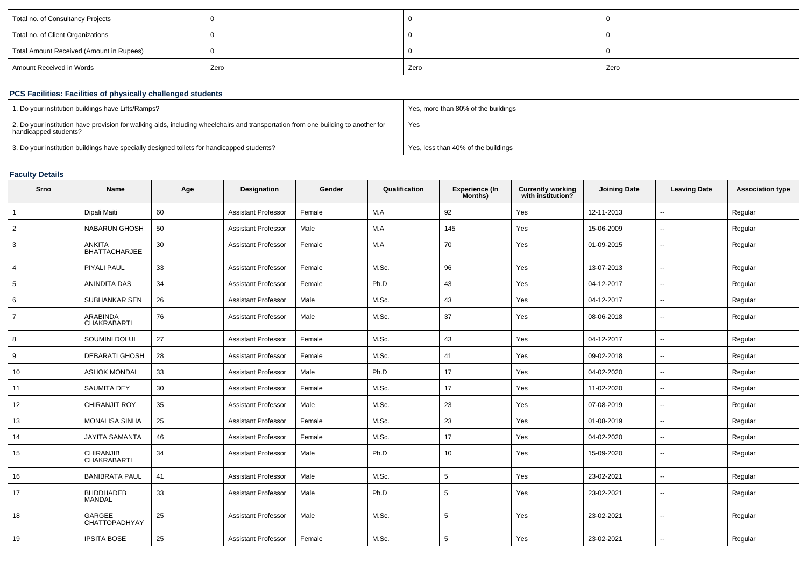| Total no. of Consultancy Projects        |      |      |      |
|------------------------------------------|------|------|------|
| Total no. of Client Organizations        |      |      |      |
| Total Amount Received (Amount in Rupees) |      |      |      |
| Amount Received in Words                 | Zero | Zero | Zero |

## **PCS Facilities: Facilities of physically challenged students**

| 1. Do your institution buildings have Lifts/Ramps?                                                                                                         | Yes, more than 80% of the buildings |
|------------------------------------------------------------------------------------------------------------------------------------------------------------|-------------------------------------|
| 2. Do your institution have provision for walking aids, including wheelchairs and transportation from one building to another for<br>handicapped students? | Yes                                 |
| 3. Do your institution buildings have specially designed toilets for handicapped students?                                                                 | Yes, less than 40% of the buildings |

#### **Faculty Details**

| Srno           | <b>Name</b>                            | Age | Designation                | Gender | Qualification | <b>Experience (In</b><br>Months) | <b>Currently working</b><br>with institution? | <b>Joining Date</b> | <b>Leaving Date</b>      | <b>Association type</b> |
|----------------|----------------------------------------|-----|----------------------------|--------|---------------|----------------------------------|-----------------------------------------------|---------------------|--------------------------|-------------------------|
|                | Dipali Maiti                           | 60  | <b>Assistant Professor</b> | Female | M.A           | 92                               | Yes                                           | 12-11-2013          | $\overline{\phantom{a}}$ | Regular                 |
| $\overline{2}$ | NABARUN GHOSH                          | 50  | <b>Assistant Professor</b> | Male   | M.A           | 145                              | Yes                                           | 15-06-2009          | $\sim$                   | Regular                 |
| 3              | <b>ANKITA</b><br><b>BHATTACHARJEE</b>  | 30  | <b>Assistant Professor</b> | Female | M.A           | 70                               | Yes                                           | 01-09-2015          | $\sim$                   | Regular                 |
| 4              | PIYALI PAUL                            | 33  | <b>Assistant Professor</b> | Female | M.Sc.         | 96                               | Yes                                           | 13-07-2013          | $\sim$                   | Regular                 |
| 5              | <b>ANINDITA DAS</b>                    | 34  | <b>Assistant Professor</b> | Female | Ph.D          | 43                               | Yes                                           | 04-12-2017          | $\sim$                   | Regular                 |
| 6              | SUBHANKAR SEN                          | 26  | <b>Assistant Professor</b> | Male   | M.Sc.         | 43                               | Yes                                           | 04-12-2017          | $\sim$                   | Regular                 |
| $\overline{7}$ | ARABINDA<br><b>CHAKRABARTI</b>         | 76  | <b>Assistant Professor</b> | Male   | M.Sc.         | 37                               | Yes                                           | 08-06-2018          | $\sim$                   | Regular                 |
| 8              | SOUMINI DOLUI                          | 27  | <b>Assistant Professor</b> | Female | M.Sc.         | 43                               | Yes                                           | 04-12-2017          | $\sim$                   | Regular                 |
| 9              | <b>DEBARATI GHOSH</b>                  | 28  | <b>Assistant Professor</b> | Female | M.Sc.         | 41                               | Yes                                           | 09-02-2018          | $\sim$                   | Regular                 |
| 10             | <b>ASHOK MONDAL</b>                    | 33  | <b>Assistant Professor</b> | Male   | Ph.D          | 17                               | Yes                                           | 04-02-2020          | $\sim$                   | Regular                 |
| 11             | <b>SAUMITA DEY</b>                     | 30  | <b>Assistant Professor</b> | Female | M.Sc.         | 17                               | Yes                                           | 11-02-2020          | $\sim$                   | Regular                 |
| 12             | <b>CHIRANJIT ROY</b>                   | 35  | <b>Assistant Professor</b> | Male   | M.Sc.         | 23                               | Yes                                           | 07-08-2019          | $\sim$                   | Regular                 |
| 13             | <b>MONALISA SINHA</b>                  | 25  | <b>Assistant Professor</b> | Female | M.Sc.         | 23                               | Yes                                           | 01-08-2019          | $\sim$                   | Regular                 |
| 14             | <b>JAYITA SAMANTA</b>                  | 46  | <b>Assistant Professor</b> | Female | M.Sc.         | 17                               | Yes                                           | 04-02-2020          | $\sim$                   | Regular                 |
| 15             | <b>CHIRANJIB</b><br><b>CHAKRABARTI</b> | 34  | <b>Assistant Professor</b> | Male   | Ph.D          | 10                               | Yes                                           | 15-09-2020          | $\sim$                   | Regular                 |
| 16             | <b>BANIBRATA PAUL</b>                  | 41  | <b>Assistant Professor</b> | Male   | M.Sc.         | 5                                | Yes                                           | 23-02-2021          | $\sim$                   | Regular                 |
| 17             | <b>BHDDHADEB</b><br><b>MANDAL</b>      | 33  | <b>Assistant Professor</b> | Male   | Ph.D          | 5                                | Yes                                           | 23-02-2021          | $\sim$                   | Regular                 |
| 18             | GARGEE<br>CHATTOPADHYAY                | 25  | <b>Assistant Professor</b> | Male   | M.Sc.         | 5                                | Yes                                           | 23-02-2021          | $\sim$                   | Regular                 |
| 19             | <b>IPSITA BOSE</b>                     | 25  | <b>Assistant Professor</b> | Female | M.Sc.         | 5                                | Yes                                           | 23-02-2021          |                          | Regular                 |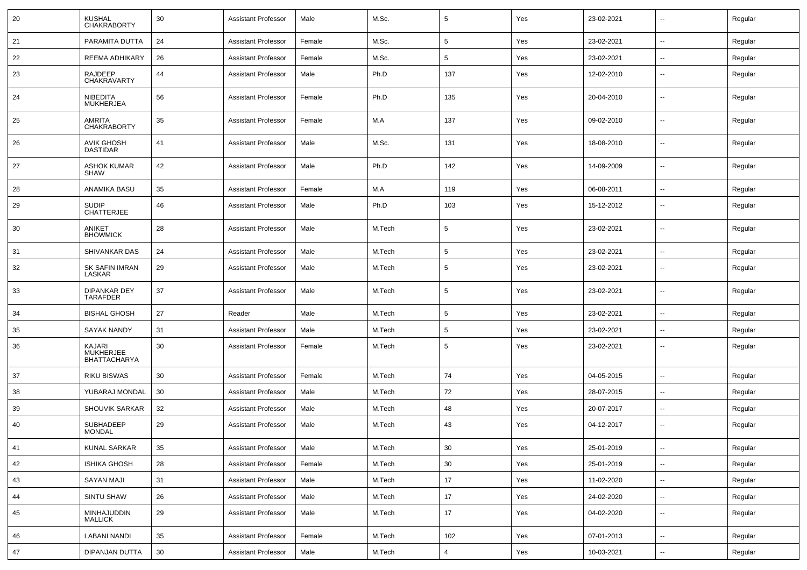| 20 | <b>KUSHAL</b><br><b>CHAKRABORTY</b>        | 30 | <b>Assistant Professor</b> | Male   | M.Sc.  | 5               | Yes | 23-02-2021 | $\overline{\phantom{a}}$ | Regular |
|----|--------------------------------------------|----|----------------------------|--------|--------|-----------------|-----|------------|--------------------------|---------|
| 21 | PARAMITA DUTTA                             | 24 | <b>Assistant Professor</b> | Female | M.Sc.  | 5               | Yes | 23-02-2021 | $\overline{a}$           | Regular |
| 22 | REEMA ADHIKARY                             | 26 | <b>Assistant Professor</b> | Female | M.Sc.  | $5\phantom{.0}$ | Yes | 23-02-2021 | $\overline{\phantom{a}}$ | Regular |
| 23 | <b>RAJDEEP</b><br>CHAKRAVARTY              | 44 | <b>Assistant Professor</b> | Male   | Ph.D   | 137             | Yes | 12-02-2010 | --                       | Regular |
| 24 | <b>NIBEDITA</b><br><b>MUKHERJEA</b>        | 56 | <b>Assistant Professor</b> | Female | Ph.D   | 135             | Yes | 20-04-2010 | --                       | Regular |
| 25 | <b>AMRITA</b><br><b>CHAKRABORTY</b>        | 35 | <b>Assistant Professor</b> | Female | M.A    | 137             | Yes | 09-02-2010 | --                       | Regular |
| 26 | <b>AVIK GHOSH</b><br><b>DASTIDAR</b>       | 41 | <b>Assistant Professor</b> | Male   | M.Sc.  | 131             | Yes | 18-08-2010 | --                       | Regular |
| 27 | <b>ASHOK KUMAR</b><br><b>SHAW</b>          | 42 | <b>Assistant Professor</b> | Male   | Ph.D   | 142             | Yes | 14-09-2009 | --                       | Regular |
| 28 | ANAMIKA BASU                               | 35 | <b>Assistant Professor</b> | Female | M.A    | 119             | Yes | 06-08-2011 | --                       | Regular |
| 29 | <b>SUDIP</b><br><b>CHATTERJEE</b>          | 46 | <b>Assistant Professor</b> | Male   | Ph.D   | 103             | Yes | 15-12-2012 | $\overline{a}$           | Regular |
| 30 | <b>ANIKET</b><br><b>BHOWMICK</b>           | 28 | <b>Assistant Professor</b> | Male   | M.Tech | 5               | Yes | 23-02-2021 | --                       | Regular |
| 31 | SHIVANKAR DAS                              | 24 | <b>Assistant Professor</b> | Male   | M.Tech | 5               | Yes | 23-02-2021 | --                       | Regular |
| 32 | SK SAFIN IMRAN<br>LASKAR                   | 29 | <b>Assistant Professor</b> | Male   | M.Tech | 5               | Yes | 23-02-2021 | --                       | Regular |
| 33 | DIPANKAR DEY<br><b>TARAFDER</b>            | 37 | <b>Assistant Professor</b> | Male   | M.Tech | 5               | Yes | 23-02-2021 | $\overline{a}$           | Regular |
| 34 | <b>BISHAL GHOSH</b>                        | 27 | Reader                     | Male   | M.Tech | 5               | Yes | 23-02-2021 | --                       | Regular |
| 35 | <b>SAYAK NANDY</b>                         | 31 | <b>Assistant Professor</b> | Male   | M.Tech | $5\phantom{.0}$ | Yes | 23-02-2021 | --                       | Regular |
| 36 | KAJARI<br>MUKHERJEE<br><b>BHATTACHARYA</b> | 30 | <b>Assistant Professor</b> | Female | M.Tech | 5               | Yes | 23-02-2021 | --                       | Regular |
| 37 | <b>RIKU BISWAS</b>                         | 30 | <b>Assistant Professor</b> | Female | M.Tech | 74              | Yes | 04-05-2015 |                          | Regular |
| 38 | YUBARAJ MONDAL                             | 30 | <b>Assistant Professor</b> | Male   | M.Tech | 72              | Yes | 28-07-2015 | $\overline{\phantom{a}}$ | Regular |
| 39 | SHOUVIK SARKAR                             | 32 | <b>Assistant Professor</b> | Male   | M.Tech | 48              | Yes | 20-07-2017 | $\overline{\phantom{a}}$ | Regular |
| 40 | <b>SUBHADEEP</b><br><b>MONDAL</b>          | 29 | <b>Assistant Professor</b> | Male   | M.Tech | 43              | Yes | 04-12-2017 | --                       | Regular |
| 41 | <b>KUNAL SARKAR</b>                        | 35 | <b>Assistant Professor</b> | Male   | M.Tech | 30              | Yes | 25-01-2019 | --                       | Regular |
| 42 | <b>ISHIKA GHOSH</b>                        | 28 | <b>Assistant Professor</b> | Female | M.Tech | 30              | Yes | 25-01-2019 | Ξ.                       | Regular |
| 43 | <b>SAYAN MAJI</b>                          | 31 | <b>Assistant Professor</b> | Male   | M.Tech | 17              | Yes | 11-02-2020 | $\overline{\phantom{a}}$ | Regular |
| 44 | SINTU SHAW                                 | 26 | <b>Assistant Professor</b> | Male   | M.Tech | 17              | Yes | 24-02-2020 | $\overline{\phantom{a}}$ | Regular |
| 45 | MINHAJUDDIN<br><b>MALLICK</b>              | 29 | <b>Assistant Professor</b> | Male   | M.Tech | 17              | Yes | 04-02-2020 | $\overline{\phantom{a}}$ | Regular |
| 46 | <b>LABANI NANDI</b>                        | 35 | <b>Assistant Professor</b> | Female | M.Tech | 102             | Yes | 07-01-2013 | $\ddot{\phantom{a}}$     | Regular |
| 47 | DIPANJAN DUTTA                             | 30 | <b>Assistant Professor</b> | Male   | M.Tech | 4               | Yes | 10-03-2021 | $\overline{\phantom{a}}$ | Regular |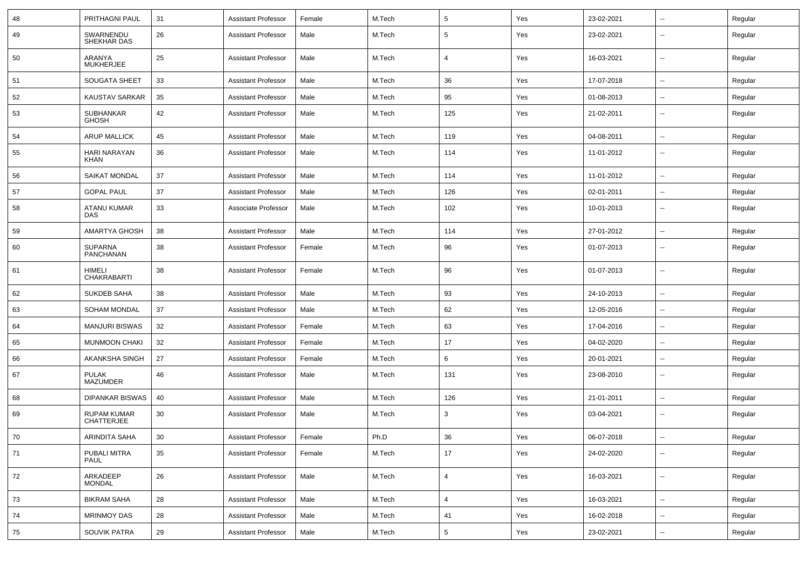| 48 | PRITHAGNI PAUL                          | 31 | <b>Assistant Professor</b> | Female | M.Tech | 5              | Yes | 23-02-2021 | --                       | Regular |
|----|-----------------------------------------|----|----------------------------|--------|--------|----------------|-----|------------|--------------------------|---------|
| 49 | SWARNENDU<br>SHEKHAR DAS                | 26 | <b>Assistant Professor</b> | Male   | M.Tech | 5              | Yes | 23-02-2021 | --                       | Regular |
| 50 | ARANYA<br><b>MUKHERJEE</b>              | 25 | <b>Assistant Professor</b> | Male   | M.Tech | 4              | Yes | 16-03-2021 | --                       | Regular |
| 51 | <b>SOUGATA SHEET</b>                    | 33 | <b>Assistant Professor</b> | Male   | M.Tech | 36             | Yes | 17-07-2018 | $\overline{\phantom{a}}$ | Regular |
| 52 | <b>KAUSTAV SARKAR</b>                   | 35 | <b>Assistant Professor</b> | Male   | M.Tech | 95             | Yes | 01-08-2013 | --                       | Regular |
| 53 | <b>SUBHANKAR</b><br><b>GHOSH</b>        | 42 | <b>Assistant Professor</b> | Male   | M.Tech | 125            | Yes | 21-02-2011 | --                       | Regular |
| 54 | <b>ARUP MALLICK</b>                     | 45 | <b>Assistant Professor</b> | Male   | M.Tech | 119            | Yes | 04-08-2011 | --                       | Regular |
| 55 | HARI NARAYAN<br><b>KHAN</b>             | 36 | <b>Assistant Professor</b> | Male   | M.Tech | 114            | Yes | 11-01-2012 | $\overline{\phantom{a}}$ | Regular |
| 56 | <b>SAIKAT MONDAL</b>                    | 37 | <b>Assistant Professor</b> | Male   | M.Tech | 114            | Yes | 11-01-2012 | $\overline{\phantom{a}}$ | Regular |
| 57 | <b>GOPAL PAUL</b>                       | 37 | <b>Assistant Professor</b> | Male   | M.Tech | 126            | Yes | 02-01-2011 | ⊷.                       | Regular |
| 58 | ATANU KUMAR<br><b>DAS</b>               | 33 | Associate Professor        | Male   | M.Tech | 102            | Yes | 10-01-2013 | --                       | Regular |
| 59 | AMARTYA GHOSH                           | 38 | <b>Assistant Professor</b> | Male   | M.Tech | 114            | Yes | 27-01-2012 | --                       | Regular |
| 60 | <b>SUPARNA</b><br><b>PANCHANAN</b>      | 38 | <b>Assistant Professor</b> | Female | M.Tech | 96             | Yes | 01-07-2013 | $\overline{\phantom{a}}$ | Regular |
| 61 | HIMELI<br><b>CHAKRABARTI</b>            | 38 | <b>Assistant Professor</b> | Female | M.Tech | 96             | Yes | 01-07-2013 | $\overline{\phantom{a}}$ | Regular |
| 62 | SUKDEB SAHA                             | 38 | <b>Assistant Professor</b> | Male   | M.Tech | 93             | Yes | 24-10-2013 | $\overline{\phantom{a}}$ | Regular |
| 63 | <b>SOHAM MONDAL</b>                     | 37 | <b>Assistant Professor</b> | Male   | M.Tech | 62             | Yes | 12-05-2016 | $\overline{\phantom{a}}$ | Regular |
| 64 | <b>MANJURI BISWAS</b>                   | 32 | <b>Assistant Professor</b> | Female | M.Tech | 63             | Yes | 17-04-2016 |                          | Regular |
| 65 | <b>MUNMOON CHAKI</b>                    | 32 | <b>Assistant Professor</b> | Female | M.Tech | 17             | Yes | 04-02-2020 | $\overline{\phantom{a}}$ | Regular |
| 66 | AKANKSHA SINGH                          | 27 | <b>Assistant Professor</b> | Female | M.Tech | 6              | Yes | 20-01-2021 | $\overline{\phantom{a}}$ | Regular |
| 67 | <b>PULAK</b><br><b>MAZUMDER</b>         | 46 | <b>Assistant Professor</b> | Male   | M.Tech | 131            | Yes | 23-08-2010 | ⊷.                       | Regular |
| 68 | <b>DIPANKAR BISWAS</b>                  | 40 | <b>Assistant Professor</b> | Male   | M.Tech | 126            | Yes | 21-01-2011 | --                       | Regular |
| 69 | <b>RUPAM KUMAR</b><br><b>CHATTERJEE</b> | 30 | <b>Assistant Professor</b> | Male   | M.Tech | 3              | Yes | 03-04-2021 | $\overline{\phantom{a}}$ | Regular |
| 70 | <b>ARINDITA SAHA</b>                    | 30 | <b>Assistant Professor</b> | Female | Ph.D   | 36             | Yes | 06-07-2018 | $\overline{\phantom{a}}$ | Regular |
| 71 | PUBALI MITRA<br><b>PAUL</b>             | 35 | <b>Assistant Professor</b> | Female | M.Tech | 17             | Yes | 24-02-2020 | $\overline{\phantom{a}}$ | Regular |
| 72 | ARKADEEP<br><b>MONDAL</b>               | 26 | <b>Assistant Professor</b> | Male   | M.Tech | $\overline{4}$ | Yes | 16-03-2021 | $\sim$                   | Regular |
| 73 | <b>BIKRAM SAHA</b>                      | 28 | <b>Assistant Professor</b> | Male   | M.Tech | $\overline{4}$ | Yes | 16-03-2021 | Ξ.                       | Regular |
| 74 | <b>MRINMOY DAS</b>                      | 28 | <b>Assistant Professor</b> | Male   | M.Tech | 41             | Yes | 16-02-2018 | н.                       | Regular |
| 75 | SOUVIK PATRA                            | 29 | <b>Assistant Professor</b> | Male   | M.Tech | $\sqrt{5}$     | Yes | 23-02-2021 | $\sim$                   | Regular |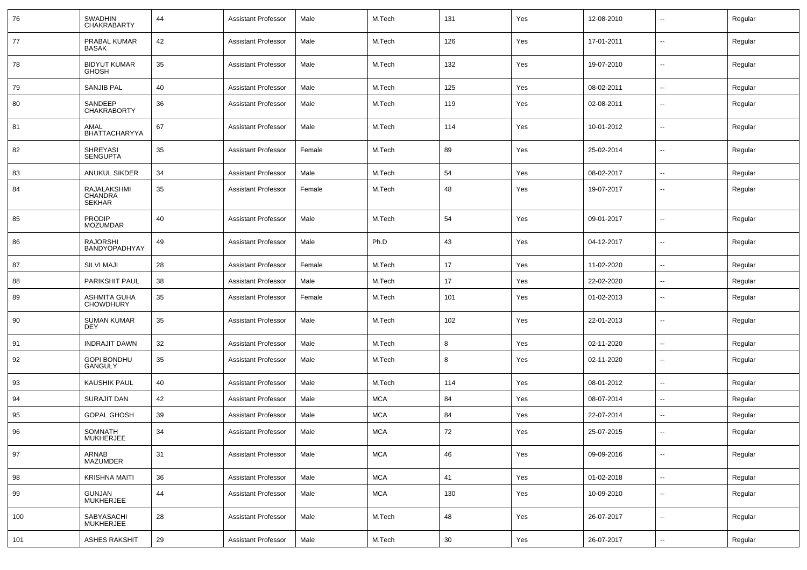| 76  | <b>SWADHIN</b><br><b>CHAKRABARTY</b>           | 44 | <b>Assistant Professor</b> | Male   | M.Tech     | 131 | Yes | 12-08-2010 |                          | Regular |
|-----|------------------------------------------------|----|----------------------------|--------|------------|-----|-----|------------|--------------------------|---------|
| 77  | PRABAL KUMAR<br>BASAK                          | 42 | <b>Assistant Professor</b> | Male   | M.Tech     | 126 | Yes | 17-01-2011 | $\sim$                   | Regular |
| 78  | <b>BIDYUT KUMAR</b><br><b>GHOSH</b>            | 35 | <b>Assistant Professor</b> | Male   | M.Tech     | 132 | Yes | 19-07-2010 | $\mathbf{u}$             | Regular |
| 79  | <b>SANJIB PAL</b>                              | 40 | <b>Assistant Professor</b> | Male   | M.Tech     | 125 | Yes | 08-02-2011 | $\sim$                   | Regular |
| 80  | SANDEEP<br><b>CHAKRABORTY</b>                  | 36 | <b>Assistant Professor</b> | Male   | M.Tech     | 119 | Yes | 02-08-2011 | $\overline{\phantom{a}}$ | Regular |
| 81  | AMAL<br><b>BHATTACHARYYA</b>                   | 67 | <b>Assistant Professor</b> | Male   | M.Tech     | 114 | Yes | 10-01-2012 | $\overline{\phantom{a}}$ | Regular |
| 82  | <b>SHREYASI</b><br><b>SENGUPTA</b>             | 35 | <b>Assistant Professor</b> | Female | M.Tech     | 89  | Yes | 25-02-2014 | $\overline{\phantom{a}}$ | Regular |
| 83  | <b>ANUKUL SIKDER</b>                           | 34 | <b>Assistant Professor</b> | Male   | M.Tech     | 54  | Yes | 08-02-2017 | $\mathbf{u}$             | Regular |
| 84  | RAJALAKSHMI<br><b>CHANDRA</b><br><b>SEKHAR</b> | 35 | Assistant Professor        | Female | M.Tech     | 48  | Yes | 19-07-2017 | $\overline{\phantom{a}}$ | Regular |
| 85  | <b>PRODIP</b><br><b>MOZUMDAR</b>               | 40 | <b>Assistant Professor</b> | Male   | M.Tech     | 54  | Yes | 09-01-2017 | $\overline{\phantom{a}}$ | Regular |
| 86  | <b>RAJORSHI</b><br>BANDYOPADHYAY               | 49 | <b>Assistant Professor</b> | Male   | Ph.D       | 43  | Yes | 04-12-2017 | $\overline{\phantom{a}}$ | Regular |
| 87  | <b>SILVI MAJI</b>                              | 28 | <b>Assistant Professor</b> | Female | M.Tech     | 17  | Yes | 11-02-2020 | $\overline{\phantom{a}}$ | Regular |
| 88  | PARIKSHIT PAUL                                 | 38 | <b>Assistant Professor</b> | Male   | M.Tech     | 17  | Yes | 22-02-2020 | $\overline{\phantom{a}}$ | Regular |
| 89  | <b>ASHMITA GUHA</b><br><b>CHOWDHURY</b>        | 35 | <b>Assistant Professor</b> | Female | M.Tech     | 101 | Yes | 01-02-2013 | --                       | Regular |
| 90  | <b>SUMAN KUMAR</b><br>DEY                      | 35 | <b>Assistant Professor</b> | Male   | M.Tech     | 102 | Yes | 22-01-2013 | $\overline{\phantom{a}}$ | Regular |
| 91  | <b>INDRAJIT DAWN</b>                           | 32 | <b>Assistant Professor</b> | Male   | M.Tech     | 8   | Yes | 02-11-2020 | --                       | Regular |
| 92  | <b>GOPI BONDHU</b><br><b>GANGULY</b>           | 35 | <b>Assistant Professor</b> | Male   | M.Tech     | 8   | Yes | 02-11-2020 | $\overline{\phantom{a}}$ | Regular |
| 93  | KAUSHIK PAUL                                   | 40 | Assistant Professor        | Male   | M.Tech     | 114 | Yes | 08-01-2012 | $\overline{a}$           | Regular |
| 94  | <b>SURAJIT DAN</b>                             | 42 | <b>Assistant Professor</b> | Male   | <b>MCA</b> | 84  | Yes | 08-07-2014 | $\sim$                   | Regular |
| 95  | <b>GOPAL GHOSH</b>                             | 39 | <b>Assistant Professor</b> | Male   | <b>MCA</b> | 84  | Yes | 22-07-2014 | $\overline{\phantom{a}}$ | Regular |
| 96  | SOMNATH<br>MUKHERJEE                           | 34 | <b>Assistant Professor</b> | Male   | <b>MCA</b> | 72  | Yes | 25-07-2015 | --                       | Regular |
| 97  | ARNAB<br><b>MAZUMDER</b>                       | 31 | <b>Assistant Professor</b> | Male   | <b>MCA</b> | 46  | Yes | 09-09-2016 | $\mathbf{u}$             | Regular |
| 98  | <b>KRISHNA MAITI</b>                           | 36 | <b>Assistant Professor</b> | Male   | <b>MCA</b> | 41  | Yes | 01-02-2018 | $\sim$                   | Regular |
| 99  | GUNJAN<br>MUKHERJEE                            | 44 | <b>Assistant Professor</b> | Male   | <b>MCA</b> | 130 | Yes | 10-09-2010 | $\overline{\phantom{a}}$ | Regular |
| 100 | SABYASACHI<br>MUKHERJEE                        | 28 | <b>Assistant Professor</b> | Male   | M.Tech     | 48  | Yes | 26-07-2017 | $\mathbf{u}$             | Regular |
| 101 | <b>ASHES RAKSHIT</b>                           | 29 | <b>Assistant Professor</b> | Male   | M.Tech     | 30  | Yes | 26-07-2017 | $\sim$                   | Regular |